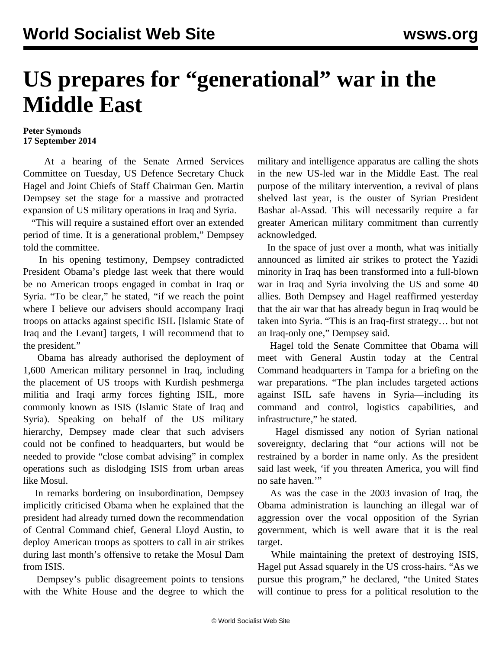## **US prepares for "generational" war in the Middle East**

## **Peter Symonds 17 September 2014**

 At a hearing of the Senate Armed Services Committee on Tuesday, US Defence Secretary Chuck Hagel and Joint Chiefs of Staff Chairman Gen. Martin Dempsey set the stage for a massive and protracted expansion of US military operations in Iraq and Syria.

 "This will require a sustained effort over an extended period of time. It is a generational problem," Dempsey told the committee.

 In his opening testimony, Dempsey contradicted President Obama's pledge last week that there would be no American troops engaged in combat in Iraq or Syria. "To be clear," he stated, "if we reach the point where I believe our advisers should accompany Iraqi troops on attacks against specific ISIL [Islamic State of Iraq and the Levant] targets, I will recommend that to the president."

 Obama has already authorised the deployment of 1,600 American military personnel in Iraq, including the placement of US troops with Kurdish peshmerga militia and Iraqi army forces fighting ISIL, more commonly known as ISIS (Islamic State of Iraq and Syria). Speaking on behalf of the US military hierarchy, Dempsey made clear that such advisers could not be confined to headquarters, but would be needed to provide "close combat advising" in complex operations such as dislodging ISIS from urban areas like Mosul.

 In remarks bordering on insubordination, Dempsey implicitly criticised Obama when he explained that the president had already turned down the recommendation of Central Command chief, General Lloyd Austin, to deploy American troops as spotters to call in air strikes during last month's offensive to retake the Mosul Dam from ISIS.

 Dempsey's public disagreement points to tensions with the White House and the degree to which the military and intelligence apparatus are calling the shots in the new US-led war in the Middle East. The real purpose of the military intervention, a revival of plans shelved last year, is the ouster of Syrian President Bashar al-Assad. This will necessarily require a far greater American military commitment than currently acknowledged.

 In the space of just over a month, what was initially announced as limited air strikes to protect the Yazidi minority in Iraq has been transformed into a full-blown war in Iraq and Syria involving the US and some 40 allies. Both Dempsey and Hagel reaffirmed yesterday that the air war that has already begun in Iraq would be taken into Syria. "This is an Iraq-first strategy… but not an Iraq-only one," Dempsey said.

 Hagel told the Senate Committee that Obama will meet with General Austin today at the Central Command headquarters in Tampa for a briefing on the war preparations. "The plan includes targeted actions against ISIL safe havens in Syria—including its command and control, logistics capabilities, and infrastructure," he stated.

 Hagel dismissed any notion of Syrian national sovereignty, declaring that "our actions will not be restrained by a border in name only. As the president said last week, 'if you threaten America, you will find no safe haven.'"

 As was the case in the 2003 invasion of Iraq, the Obama administration is launching an illegal war of aggression over the vocal opposition of the Syrian government, which is well aware that it is the real target.

 While maintaining the pretext of destroying ISIS, Hagel put Assad squarely in the US cross-hairs. "As we pursue this program," he declared, "the United States will continue to press for a political resolution to the